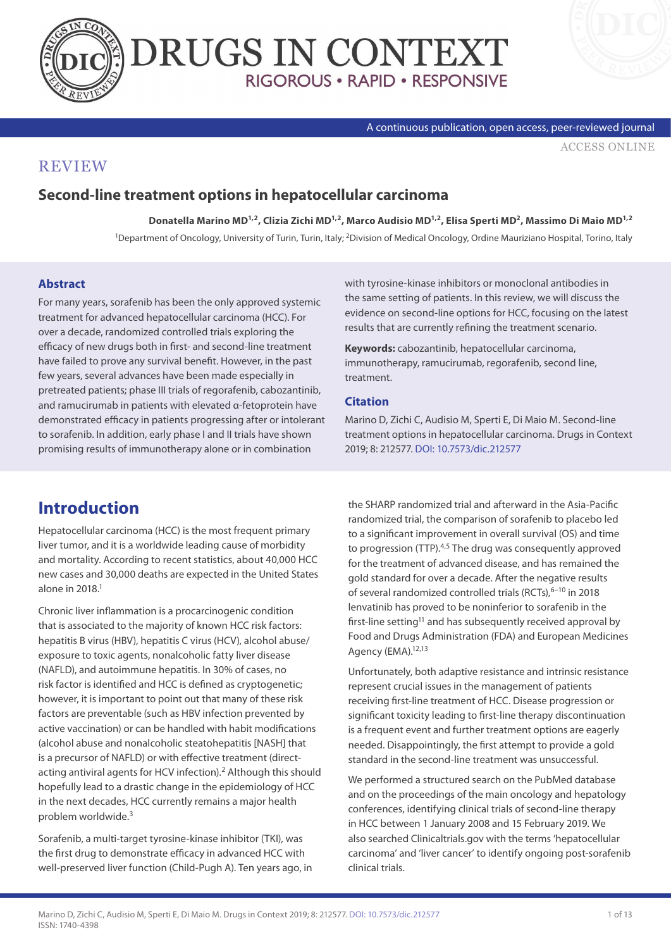



A continuous publication, open access, peer-reviewed journal

[ACCESS ONLINE](https://www.drugsincontext.com/second-line-treatment-options-in-hepatocellular-carcinoma)

### **REVIEW**

#### **Second-line treatment options in hepatocellular carcinoma**

**Donatella Marino MD1,2, Clizia Zichi MD1,2, Marco Audisio MD1,2, Elisa Sperti MD2, Massimo Di Maio MD1,2**

1Department of Oncology, University of Turin, Turin, Italy; 2Division of Medical Oncology, Ordine Mauriziano Hospital, Torino, Italy

#### **Abstract**

For many years, sorafenib has been the only approved systemic treatment for advanced hepatocellular carcinoma (HCC). For over a decade, randomized controlled trials exploring the efficacy of new drugs both in first- and second-line treatment have failed to prove any survival benefit. However, in the past few years, several advances have been made especially in pretreated patients; phase III trials of regorafenib, cabozantinib, and ramucirumab in patients with elevated α-fetoprotein have demonstrated efficacy in patients progressing after or intolerant to sorafenib. In addition, early phase I and II trials have shown promising results of immunotherapy alone or in combination

with tyrosine-kinase inhibitors or monoclonal antibodies in the same setting of patients. In this review, we will discuss the evidence on second-line options for HCC, focusing on the latest results that are currently refining the treatment scenario.

**Keywords:** cabozantinib, hepatocellular carcinoma, immunotherapy, ramucirumab, regorafenib, second line, treatment.

#### **Citation**

Marino D, Zichi C, Audisio M, Sperti E, Di Maio M. Second-line treatment options in hepatocellular carcinoma. Drugs in Context 2019; 8: 212577. [DOI: 10.7573/dic.212577](https://doi.org/10.7573/dic.212577)

# **Introduction**

Hepatocellular carcinoma (HCC) is the most frequent primary liver tumor, and it is a worldwide leading cause of morbidity and mortality. According to recent statistics, about 40,000 HCC new cases and 30,000 deaths are expected in the United States alone in 2018.1

Chronic liver inflammation is a procarcinogenic condition that is associated to the majority of known HCC risk factors: hepatitis B virus (HBV), hepatitis C virus (HCV), alcohol abuse/ exposure to toxic agents, nonalcoholic fatty liver disease (NAFLD), and autoimmune hepatitis. In 30% of cases, no risk factor is identified and HCC is defined as cryptogenetic; however, it is important to point out that many of these risk factors are preventable (such as HBV infection prevented by active vaccination) or can be handled with habit modifications (alcohol abuse and nonalcoholic steatohepatitis [NASH] that is a precursor of NAFLD) or with effective treatment (directacting antiviral agents for HCV infection).<sup>2</sup> Although this should hopefully lead to a drastic change in the epidemiology of HCC in the next decades, HCC currently remains a major health problem worldwide.3

Sorafenib, a multi-target tyrosine-kinase inhibitor (TKI), was the first drug to demonstrate efficacy in advanced HCC with well-preserved liver function (Child-Pugh A). Ten years ago, in the SHARP randomized trial and afterward in the Asia-Pacific randomized trial, the comparison of sorafenib to placebo led to a significant improvement in overall survival (OS) and time to progression (TTP).<sup>4,5</sup> The drug was consequently approved for the treatment of advanced disease, and has remained the gold standard for over a decade. After the negative results of several randomized controlled trials (RCTs), <sup>6-10</sup> in 2018 lenvatinib has proved to be noninferior to sorafenib in the first-line setting<sup>11</sup> and has subsequently received approval by Food and Drugs Administration (FDA) and European Medicines Agency (EMA).<sup>12,13</sup>

Unfortunately, both adaptive resistance and intrinsic resistance represent crucial issues in the management of patients receiving first-line treatment of HCC. Disease progression or significant toxicity leading to first-line therapy discontinuation is a frequent event and further treatment options are eagerly needed. Disappointingly, the first attempt to provide a gold standard in the second-line treatment was unsuccessful.

We performed a structured search on the PubMed database and on the proceedings of the main oncology and hepatology conferences, identifying clinical trials of second-line therapy in HCC between 1 January 2008 and 15 February 2019. We also searched Clinicaltrials.gov with the terms 'hepatocellular carcinoma' and 'liver cancer' to identify ongoing post-sorafenib clinical trials.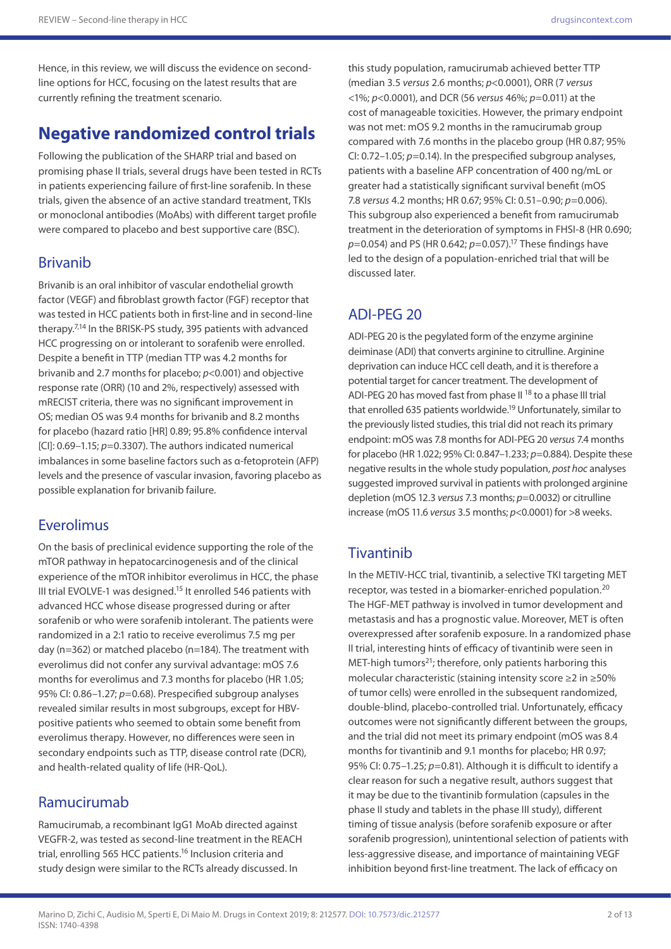Hence, in this review, we will discuss the evidence on secondline options for HCC, focusing on the latest results that are currently refining the treatment scenario.

# **Negative randomized control trials**

Following the publication of the SHARP trial and based on promising phase II trials, several drugs have been tested in RCTs in patients experiencing failure of first-line sorafenib. In these trials, given the absence of an active standard treatment, TKIs or monoclonal antibodies (MoAbs) with different target profile were compared to placebo and best supportive care (BSC).

#### Brivanib

Brivanib is an oral inhibitor of vascular endothelial growth factor (VEGF) and fibroblast growth factor (FGF) receptor that was tested in HCC patients both in first-line and in second-line therapy.7,14 In the BRISK-PS study, 395 patients with advanced HCC progressing on or intolerant to sorafenib were enrolled. Despite a benefit in TTP (median TTP was 4.2 months for brivanib and 2.7 months for placebo; *p*<0.001) and objective response rate (ORR) (10 and 2%, respectively) assessed with mRECIST criteria, there was no significant improvement in OS; median OS was 9.4 months for brivanib and 8.2 months for placebo (hazard ratio [HR] 0.89; 95.8% confidence interval [CI]: 0.69–1.15; *p*=0.3307). The authors indicated numerical imbalances in some baseline factors such as α-fetoprotein (AFP) levels and the presence of vascular invasion, favoring placebo as possible explanation for brivanib failure.

#### Everolimus

On the basis of preclinical evidence supporting the role of the mTOR pathway in hepatocarcinogenesis and of the clinical experience of the mTOR inhibitor everolimus in HCC, the phase III trial EVOLVE-1 was designed.<sup>15</sup> It enrolled 546 patients with advanced HCC whose disease progressed during or after sorafenib or who were sorafenib intolerant. The patients were randomized in a 2:1 ratio to receive everolimus 7.5 mg per day (n=362) or matched placebo (n=184). The treatment with everolimus did not confer any survival advantage: mOS 7.6 months for everolimus and 7.3 months for placebo (HR 1.05; 95% CI: 0.86–1.27; *p*=0.68). Prespecified subgroup analyses revealed similar results in most subgroups, except for HBVpositive patients who seemed to obtain some benefit from everolimus therapy. However, no differences were seen in secondary endpoints such as TTP, disease control rate (DCR), and health-related quality of life (HR-QoL).

## Ramucirumab

Ramucirumab, a recombinant IgG1 MoAb directed against VEGFR-2, was tested as second-line treatment in the REACH trial, enrolling 565 HCC patients.<sup>16</sup> Inclusion criteria and study design were similar to the RCTs already discussed. In

this study population, ramucirumab achieved better TTP (median 3.5 *versus* 2.6 months; *p*<0.0001), ORR (7 *versus* <1%; *p*<0.0001), and DCR (56 *versus* 46%; *p*=0.011) at the cost of manageable toxicities. However, the primary endpoint was not met: mOS 9.2 months in the ramucirumab group compared with 7.6 months in the placebo group (HR 0.87; 95% CI: 0.72–1.05; *p*=0.14). In the prespecified subgroup analyses, patients with a baseline AFP concentration of 400 ng/mL or greater had a statistically significant survival benefit (mOS 7.8 *versus* 4.2 months; HR 0.67; 95% CI: 0.51–0.90; *p*=0.006). This subgroup also experienced a benefit from ramucirumab treatment in the deterioration of symptoms in FHSI-8 (HR 0.690; *p*=0.054) and PS (HR 0.642; *p*=0.057).17 These findings have led to the design of a population-enriched trial that will be discussed later.

#### ADI-PEG 20

ADI-PEG 20 is the pegylated form of the enzyme arginine deiminase (ADI) that converts arginine to citrulline. Arginine deprivation can induce HCC cell death, and it is therefore a potential target for cancer treatment. The development of ADI-PEG 20 has moved fast from phase II<sup>18</sup> to a phase III trial that enrolled 635 patients worldwide.<sup>19</sup> Unfortunately, similar to the previously listed studies, this trial did not reach its primary endpoint: mOS was 7.8 months for ADI-PEG 20 *versus* 7.4 months for placebo (HR 1.022; 95% CI: 0.847–1.233; *p*=0.884). Despite these negative results in the whole study population, *post hoc* analyses suggested improved survival in patients with prolonged arginine depletion (mOS 12.3 *versus* 7.3 months; *p*=0.0032) or citrulline increase (mOS 11.6 *versus* 3.5 months; *p*<0.0001) for >8 weeks.

# **Tivantinib**

In the METIV-HCC trial, tivantinib, a selective TKI targeting MET receptor, was tested in a biomarker-enriched population.20 The HGF-MET pathway is involved in tumor development and metastasis and has a prognostic value. Moreover, MET is often overexpressed after sorafenib exposure. In a randomized phase II trial, interesting hints of efficacy of tivantinib were seen in MET-high tumors<sup>21</sup>; therefore, only patients harboring this molecular characteristic (staining intensity score ≥2 in ≥50% of tumor cells) were enrolled in the subsequent randomized, double-blind, placebo-controlled trial. Unfortunately, efficacy outcomes were not significantly different between the groups, and the trial did not meet its primary endpoint (mOS was 8.4 months for tivantinib and 9.1 months for placebo; HR 0.97; 95% CI: 0.75–1.25; *p*=0.81). Although it is difficult to identify a clear reason for such a negative result, authors suggest that it may be due to the tivantinib formulation (capsules in the phase II study and tablets in the phase III study), different timing of tissue analysis (before sorafenib exposure or after sorafenib progression), unintentional selection of patients with less-aggressive disease, and importance of maintaining VEGF inhibition beyond first-line treatment. The lack of efficacy on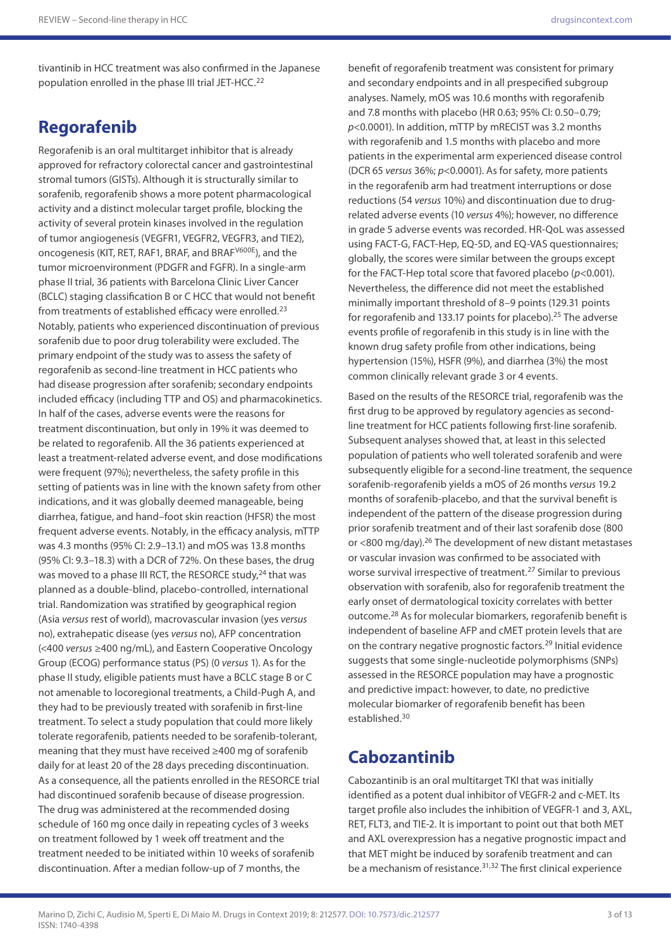tivantinib in HCC treatment was also confirmed in the Japanese population enrolled in the phase III trial JET-HCC.22

## **Regorafenib**

Regorafenib is an oral multitarget inhibitor that is already approved for refractory colorectal cancer and gastrointestinal stromal tumors (GISTs). Although it is structurally similar to sorafenib, regorafenib shows a more potent pharmacological activity and a distinct molecular target profile, blocking the activity of several protein kinases involved in the regulation of tumor angiogenesis (VEGFR1, VEGFR2, VEGFR3, and TIE2), oncogenesis (KIT, RET, RAF1, BRAF, and BRAF<sup>V600E</sup>), and the tumor microenvironment (PDGFR and FGFR). In a single-arm phase II trial, 36 patients with Barcelona Clinic Liver Cancer (BCLC) staging classification B or C HCC that would not benefit from treatments of established efficacy were enrolled.23 Notably, patients who experienced discontinuation of previous sorafenib due to poor drug tolerability were excluded. The primary endpoint of the study was to assess the safety of regorafenib as second-line treatment in HCC patients who had disease progression after sorafenib; secondary endpoints included efficacy (including TTP and OS) and pharmacokinetics. In half of the cases, adverse events were the reasons for treatment discontinuation, but only in 19% it was deemed to be related to regorafenib. All the 36 patients experienced at least a treatment-related adverse event, and dose modifications were frequent (97%); nevertheless, the safety profile in this setting of patients was in line with the known safety from other indications, and it was globally deemed manageable, being diarrhea, fatigue, and hand–foot skin reaction (HFSR) the most frequent adverse events. Notably, in the efficacy analysis, mTTP was 4.3 months (95% CI: 2.9–13.1) and mOS was 13.8 months (95% CI: 9.3–18.3) with a DCR of 72%. On these bases, the drug was moved to a phase III RCT, the RESORCE study,<sup>24</sup> that was planned as a double-blind, placebo-controlled, international trial. Randomization was stratified by geographical region (Asia *versus* rest of world), macrovascular invasion (yes *versus* no), extrahepatic disease (yes *versus* no), AFP concentration (<400 *versus* ≥400 ng/mL), and Eastern Cooperative Oncology Group (ECOG) performance status (PS) (0 *versus* 1). As for the phase II study, eligible patients must have a BCLC stage B or C not amenable to locoregional treatments, a Child-Pugh A, and they had to be previously treated with sorafenib in first-line treatment. To select a study population that could more likely tolerate regorafenib, patients needed to be sorafenib-tolerant, meaning that they must have received ≥400 mg of sorafenib daily for at least 20 of the 28 days preceding discontinuation. As a consequence, all the patients enrolled in the RESORCE trial had discontinued sorafenib because of disease progression. The drug was administered at the recommended dosing schedule of 160 mg once daily in repeating cycles of 3 weeks on treatment followed by 1 week off treatment and the treatment needed to be initiated within 10 weeks of sorafenib discontinuation. After a median follow-up of 7 months, the

benefit of regorafenib treatment was consistent for primary and secondary endpoints and in all prespecified subgroup analyses. Namely, mOS was 10.6 months with regorafenib and 7.8 months with placebo (HR 0.63; 95% CI: 0.50–0.79; *p*<0.0001). In addition, mTTP by mRECIST was 3.2 months with regorafenib and 1.5 months with placebo and more patients in the experimental arm experienced disease control (DCR 65 *versus* 36%; *p*<0.0001). As for safety, more patients in the regorafenib arm had treatment interruptions or dose reductions (54 *versus* 10%) and discontinuation due to drugrelated adverse events (10 *versus* 4%); however, no difference in grade 5 adverse events was recorded. HR-QoL was assessed using FACT-G, FACT-Hep, EQ-5D, and EQ-VAS questionnaires; globally, the scores were similar between the groups except for the FACT-Hep total score that favored placebo (*p*<0.001). Nevertheless, the difference did not meet the established minimally important threshold of 8–9 points (129.31 points for regorafenib and 133.17 points for placebo).<sup>25</sup> The adverse events profile of regorafenib in this study is in line with the known drug safety profile from other indications, being hypertension (15%), HSFR (9%), and diarrhea (3%) the most common clinically relevant grade 3 or 4 events.

Based on the results of the RESORCE trial, regorafenib was the first drug to be approved by regulatory agencies as secondline treatment for HCC patients following first-line sorafenib. Subsequent analyses showed that, at least in this selected population of patients who well tolerated sorafenib and were subsequently eligible for a second-line treatment, the sequence sorafenib-regorafenib yields a mOS of 26 months *versus* 19.2 months of sorafenib-placebo, and that the survival benefit is independent of the pattern of the disease progression during prior sorafenib treatment and of their last sorafenib dose (800 or <800 mg/day).26 The development of new distant metastases or vascular invasion was confirmed to be associated with worse survival irrespective of treatment.27 Similar to previous observation with sorafenib, also for regorafenib treatment the early onset of dermatological toxicity correlates with better outcome.28 As for molecular biomarkers, regorafenib benefit is independent of baseline AFP and cMET protein levels that are on the contrary negative prognostic factors.29 Initial evidence suggests that some single-nucleotide polymorphisms (SNPs) assessed in the RESORCE population may have a prognostic and predictive impact: however, to date, no predictive molecular biomarker of regorafenib benefit has been established.30

## **Cabozantinib**

Cabozantinib is an oral multitarget TKI that was initially identified as a potent dual inhibitor of VEGFR-2 and c-MET. Its target profile also includes the inhibition of VEGFR-1 and 3, AXL, RET, FLT3, and TIE-2. It is important to point out that both MET and AXL overexpression has a negative prognostic impact and that MET might be induced by sorafenib treatment and can be a mechanism of resistance.<sup>31,32</sup> The first clinical experience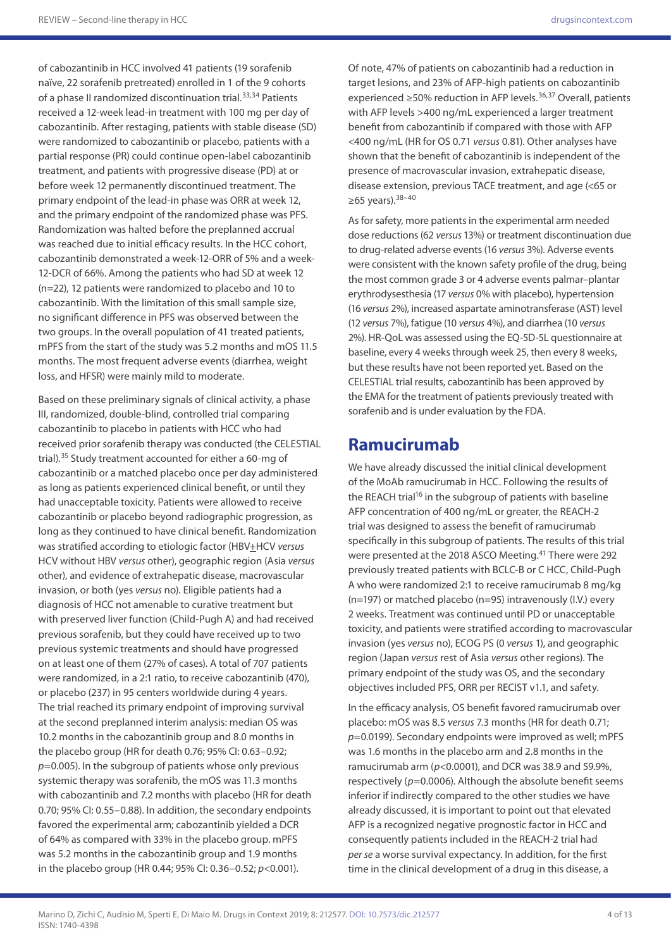of cabozantinib in HCC involved 41 patients (19 sorafenib naïve, 22 sorafenib pretreated) enrolled in 1 of the 9 cohorts of a phase II randomized discontinuation trial.<sup>33,34</sup> Patients received a 12-week lead-in treatment with 100 mg per day of cabozantinib. After restaging, patients with stable disease (SD) were randomized to cabozantinib or placebo, patients with a partial response (PR) could continue open-label cabozantinib treatment, and patients with progressive disease (PD) at or before week 12 permanently discontinued treatment. The primary endpoint of the lead-in phase was ORR at week 12, and the primary endpoint of the randomized phase was PFS. Randomization was halted before the preplanned accrual was reached due to initial efficacy results. In the HCC cohort, cabozantinib demonstrated a week-12-ORR of 5% and a week-12-DCR of 66%. Among the patients who had SD at week 12 (n=22), 12 patients were randomized to placebo and 10 to cabozantinib. With the limitation of this small sample size, no significant difference in PFS was observed between the two groups. In the overall population of 41 treated patients, mPFS from the start of the study was 5.2 months and mOS 11.5 months. The most frequent adverse events (diarrhea, weight loss, and HFSR) were mainly mild to moderate.

Based on these preliminary signals of clinical activity, a phase III, randomized, double-blind, controlled trial comparing cabozantinib to placebo in patients with HCC who had received prior sorafenib therapy was conducted (the CELESTIAL trial).35 Study treatment accounted for either a 60-mg of cabozantinib or a matched placebo once per day administered as long as patients experienced clinical benefit, or until they had unacceptable toxicity. Patients were allowed to receive cabozantinib or placebo beyond radiographic progression, as long as they continued to have clinical benefit. Randomization was stratified according to etiologic factor (HBV<sup>+</sup>HCV *versus* HCV without HBV *versus* other), geographic region (Asia *versus* other), and evidence of extrahepatic disease, macrovascular invasion, or both (yes *versus* no). Eligible patients had a diagnosis of HCC not amenable to curative treatment but with preserved liver function (Child-Pugh A) and had received previous sorafenib, but they could have received up to two previous systemic treatments and should have progressed on at least one of them (27% of cases). A total of 707 patients were randomized, in a 2:1 ratio, to receive cabozantinib (470), or placebo (237) in 95 centers worldwide during 4 years. The trial reached its primary endpoint of improving survival at the second preplanned interim analysis: median OS was 10.2 months in the cabozantinib group and 8.0 months in the placebo group (HR for death 0.76; 95% CI: 0.63–0.92; *p*=0.005). In the subgroup of patients whose only previous systemic therapy was sorafenib, the mOS was 11.3 months with cabozantinib and 7.2 months with placebo (HR for death 0.70; 95% CI: 0.55–0.88). In addition, the secondary endpoints favored the experimental arm; cabozantinib yielded a DCR of 64% as compared with 33% in the placebo group. mPFS was 5.2 months in the cabozantinib group and 1.9 months in the placebo group (HR 0.44; 95% CI: 0.36–0.52; *p*<0.001).

Of note, 47% of patients on cabozantinib had a reduction in target lesions, and 23% of AFP-high patients on cabozantinib experienced ≥50% reduction in AFP levels.<sup>36,37</sup> Overall, patients with AFP levels >400 ng/mL experienced a larger treatment benefit from cabozantinib if compared with those with AFP <400 ng/mL (HR for OS 0.71 *versus* 0.81). Other analyses have shown that the benefit of cabozantinib is independent of the presence of macrovascular invasion, extrahepatic disease, disease extension, previous TACE treatment, and age (<65 or ≥65 years).  $38-40$ 

As for safety, more patients in the experimental arm needed dose reductions (62 *versus* 13%) or treatment discontinuation due to drug-related adverse events (16 *versus* 3%). Adverse events were consistent with the known safety profile of the drug, being the most common grade 3 or 4 adverse events palmar–plantar erythrodysesthesia (17 *versus* 0% with placebo), hypertension (16 *versus* 2%), increased aspartate aminotransferase (AST) level (12 *versus* 7%), fatigue (10 *versus* 4%), and diarrhea (10 *versus* 2%). HR-QoL was assessed using the EQ-5D-5L questionnaire at baseline, every 4 weeks through week 25, then every 8 weeks, but these results have not been reported yet. Based on the CELESTIAL trial results, cabozantinib has been approved by the EMA for the treatment of patients previously treated with sorafenib and is under evaluation by the FDA.

## **Ramucirumab**

We have already discussed the initial clinical development of the MoAb ramucirumab in HCC. Following the results of the REACH trial<sup>16</sup> in the subgroup of patients with baseline AFP concentration of 400 ng/mL or greater, the REACH-2 trial was designed to assess the benefit of ramucirumab specifically in this subgroup of patients. The results of this trial were presented at the 2018 ASCO Meeting.<sup>41</sup> There were 292 previously treated patients with BCLC-B or C HCC, Child-Pugh A who were randomized 2:1 to receive ramucirumab 8 mg/kg (n=197) or matched placebo (n=95) intravenously (I.V.) every 2 weeks. Treatment was continued until PD or unacceptable toxicity, and patients were stratified according to macrovascular invasion (yes *versus* no), ECOG PS (0 *versus* 1), and geographic region (Japan *versus* rest of Asia *versus* other regions). The primary endpoint of the study was OS, and the secondary objectives included PFS, ORR per RECIST v1.1, and safety.

In the efficacy analysis, OS benefit favored ramucirumab over placebo: mOS was 8.5 *versus* 7.3 months (HR for death 0.71; *p*=0.0199). Secondary endpoints were improved as well; mPFS was 1.6 months in the placebo arm and 2.8 months in the ramucirumab arm (*p*<0.0001), and DCR was 38.9 and 59.9%, respectively (p=0.0006). Although the absolute benefit seems inferior if indirectly compared to the other studies we have already discussed, it is important to point out that elevated AFP is a recognized negative prognostic factor in HCC and consequently patients included in the REACH-2 trial had *per se* a worse survival expectancy. In addition, for the first time in the clinical development of a drug in this disease, a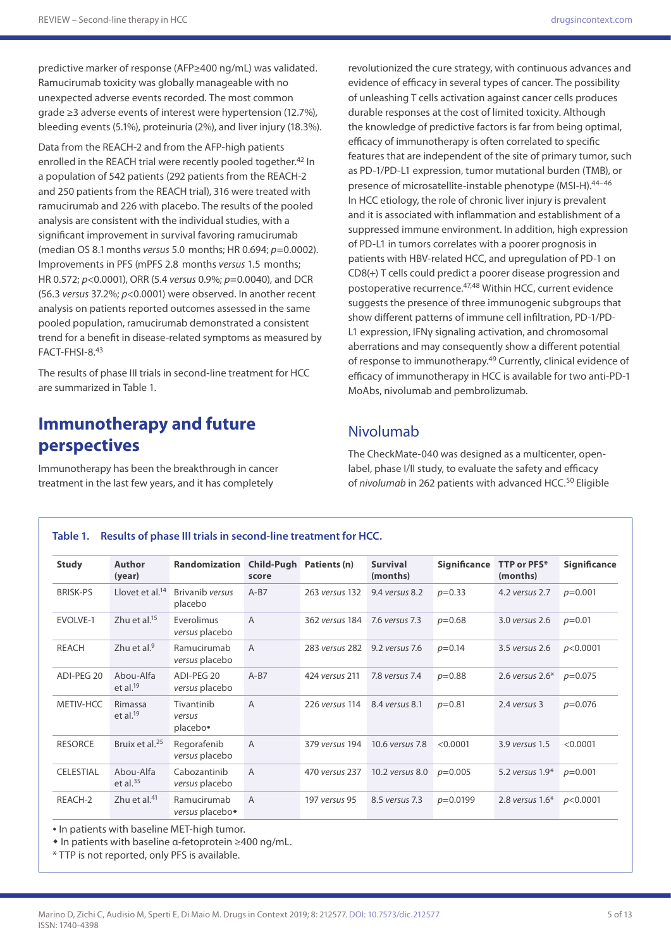predictive marker of response (AFP≥400 ng/mL) was validated. Ramucirumab toxicity was globally manageable with no unexpected adverse events recorded. The most common grade ≥3 adverse events of interest were hypertension (12.7%), bleeding events (5.1%), proteinuria (2%), and liver injury (18.3%).

Data from the REACH-2 and from the AFP-high patients enrolled in the REACH trial were recently pooled together.<sup>42</sup> In a population of 542 patients (292 patients from the REACH-2 and 250 patients from the REACH trial), 316 were treated with ramucirumab and 226 with placebo. The results of the pooled analysis are consistent with the individual studies, with a significant improvement in survival favoring ramucirumab (median OS 8.1months *versus* 5.0 months; HR 0.694; *p*=0.0002). Improvements in PFS (mPFS 2.8 months *versus* 1.5 months; HR 0.572; *p*<0.0001), ORR (5.4 *versus* 0.9%; *p*=0.0040), and DCR (56.3 *versus* 37.2%; *p*<0.0001) were observed. In another recent analysis on patients reported outcomes assessed in the same pooled population, ramucirumab demonstrated a consistent trend for a benefit in disease-related symptoms as measured by FACT-FHSI-8.43

The results of phase III trials in second-line treatment for HCC are summarized in Table 1.

# **Immunotherapy and future perspectives**

Immunotherapy has been the breakthrough in cancer treatment in the last few years, and it has completely

revolutionized the cure strategy, with continuous advances and evidence of efficacy in several types of cancer. The possibility of unleashing T cells activation against cancer cells produces durable responses at the cost of limited toxicity. Although the knowledge of predictive factors is far from being optimal, efficacy of immunotherapy is often correlated to specific features that are independent of the site of primary tumor, such as PD-1/PD-L1 expression, tumor mutational burden (TMB), or presence of microsatellite-instable phenotype (MSI-H).44–46 In HCC etiology, the role of chronic liver injury is prevalent and it is associated with inflammation and establishment of a suppressed immune environment. In addition, high expression of PD-L1 in tumors correlates with a poorer prognosis in patients with HBV-related HCC, and upregulation of PD-1 on CD8(+) T cells could predict a poorer disease progression and postoperative recurrence.47,48 Within HCC, current evidence suggests the presence of three immunogenic subgroups that show different patterns of immune cell infiltration, PD-1/PD-L1 expression, IFNy signaling activation, and chromosomal aberrations and may consequently show a different potential of response to immunotherapy.<sup>49</sup> Currently, clinical evidence of efficacy of immunotherapy in HCC is available for two anti-PD-1 MoAbs, nivolumab and pembrolizumab.

#### Nivolumab

The CheckMate-040 was designed as a multicenter, openlabel, phase I/II study, to evaluate the safety and efficacy of nivolumab in 262 patients with advanced HCC.<sup>50</sup> Eligible

#### **Table 1. Results of phase III trials in second-line treatment for HCC.**

| <b>Study</b>     | <b>Author</b><br>(year)    | Randomization                              | score          | Child-Pugh Patients (n) | <b>Survival</b><br>(months) | <b>Significance</b> | TTP or PFS*<br>(months) | <b>Significance</b> |
|------------------|----------------------------|--------------------------------------------|----------------|-------------------------|-----------------------------|---------------------|-------------------------|---------------------|
| <b>BRISK-PS</b>  | Llovet et al. $14$         | Brivanib versus<br>placebo                 | $A-B7$         | 263 versus 132          | 9.4 versus 8.2              | $p=0.33$            | 4.2 versus 2.7          | $p=0.001$           |
| EVOLVE-1         | Zhu et al. $15$            | Everolimus<br>versus placebo               | A              | 362 versus 184          | 7.6 versus 7.3              | $p=0.68$            | 3.0 versus 2.6          | $p=0.01$            |
| <b>REACH</b>     | Zhu et al. $9$             | Ramucirumab<br>versus placebo              | A              | 283 versus 282          | 9.2 versus 7.6              | $p=0.14$            | 3.5 versus 2.6          | p<0.0001            |
| ADI-PEG 20       | Abou-Alfa<br>et al. $19$   | ADI-PEG 20<br>versus placebo               | $A-B7$         | 424 versus 211          | 7.8 versus 7.4              | $p=0.88$            | 2.6 versus $2.6*$       | $p=0.075$           |
| METIV-HCC        | Rimassa<br>et al. $19$     | Tivantinib<br>versus<br>placebo•           | $\overline{A}$ | 226 versus 114          | 8.4 versus 8.1              | $p=0.81$            | 2.4 versus 3            | $p=0.076$           |
| <b>RESORCE</b>   | Bruix et al. <sup>25</sup> | Regorafenib<br>versus placebo              | $\overline{A}$ | 379 versus 194          | 10.6 versus 7.8             | < 0.0001            | 3.9 versus 1.5          | < 0.0001            |
| <b>CELESTIAL</b> | Abou-Alfa<br>et al. $35$   | Cabozantinib<br>versus placebo             | A              | 470 versus 237          | 10.2 versus 8.0             | $p=0.005$           | 5.2 versus $1.9*$       | $p=0.001$           |
| REACH-2          | Zhu et al. $41$            | Ramucirumab<br>versus placebo <sup>+</sup> | A              | 197 versus 95           | 8.5 versus 7.3              | $p=0.0199$          | 2.8 versus $1.6*$       | p<0.0001            |

• In patients with baseline MET-high tumor.

• In patients with baseline α-fetoprotein ≥400 ng/mL.

\* TTP is not reported, only PFS is available.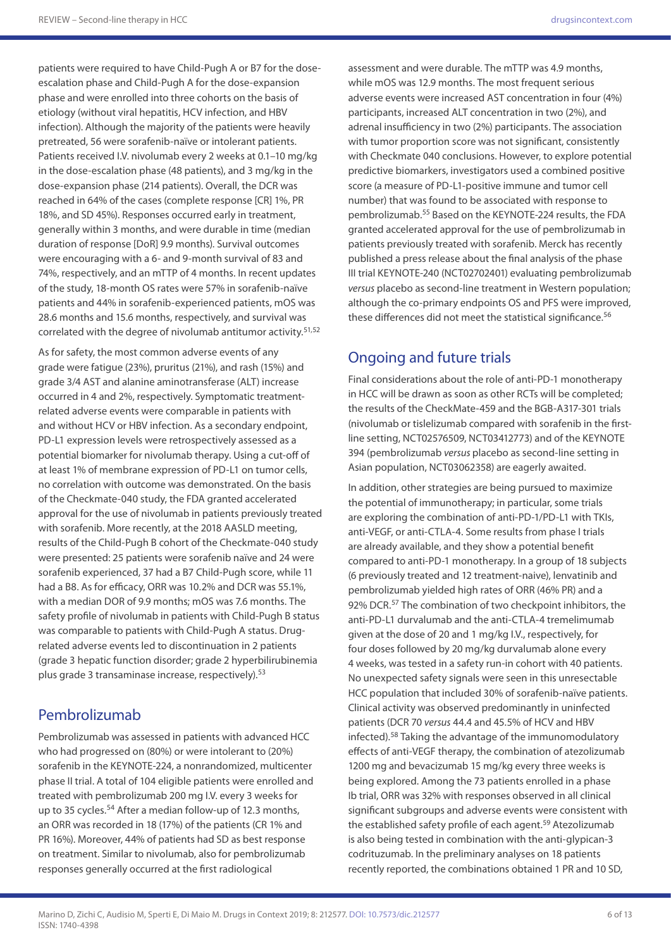patients were required to have Child-Pugh A or B7 for the doseescalation phase and Child-Pugh A for the dose-expansion phase and were enrolled into three cohorts on the basis of etiology (without viral hepatitis, HCV infection, and HBV infection). Although the majority of the patients were heavily pretreated, 56 were sorafenib-naïve or intolerant patients. Patients received I.V. nivolumab every 2 weeks at 0.1–10 mg/kg in the dose-escalation phase (48 patients), and 3 mg/kg in the dose-expansion phase (214 patients). Overall, the DCR was reached in 64% of the cases (complete response [CR] 1%, PR 18%, and SD 45%). Responses occurred early in treatment, generally within 3 months, and were durable in time (median duration of response [DoR] 9.9 months). Survival outcomes were encouraging with a 6- and 9-month survival of 83 and 74%, respectively, and an mTTP of 4 months. In recent updates of the study, 18-month OS rates were 57% in sorafenib-naïve patients and 44% in sorafenib-experienced patients, mOS was 28.6 months and 15.6 months, respectively, and survival was correlated with the degree of nivolumab antitumor activity.<sup>51,52</sup>

As for safety, the most common adverse events of any grade were fatigue (23%), pruritus (21%), and rash (15%) and grade 3/4 AST and alanine aminotransferase (ALT) increase occurred in 4 and 2%, respectively. Symptomatic treatmentrelated adverse events were comparable in patients with and without HCV or HBV infection. As a secondary endpoint, PD-L1 expression levels were retrospectively assessed as a potential biomarker for nivolumab therapy. Using a cut-off of at least 1% of membrane expression of PD-L1 on tumor cells, no correlation with outcome was demonstrated. On the basis of the Checkmate-040 study, the FDA granted accelerated approval for the use of nivolumab in patients previously treated with sorafenib. More recently, at the 2018 AASLD meeting, results of the Child-Pugh B cohort of the Checkmate-040 study were presented: 25 patients were sorafenib naïve and 24 were sorafenib experienced, 37 had a B7 Child-Pugh score, while 11 had a B8. As for efficacy, ORR was 10.2% and DCR was 55.1%, with a median DOR of 9.9 months; mOS was 7.6 months. The safety profile of nivolumab in patients with Child-Pugh B status was comparable to patients with Child-Pugh A status. Drugrelated adverse events led to discontinuation in 2 patients (grade 3 hepatic function disorder; grade 2 hyperbilirubinemia plus grade 3 transaminase increase, respectively).<sup>53</sup>

#### Pembrolizumab

Pembrolizumab was assessed in patients with advanced HCC who had progressed on (80%) or were intolerant to (20%) sorafenib in the KEYNOTE-224, a nonrandomized, multicenter phase II trial. A total of 104 eligible patients were enrolled and treated with pembrolizumab 200 mg I.V. every 3 weeks for up to 35 cycles.<sup>54</sup> After a median follow-up of 12.3 months, an ORR was recorded in 18 (17%) of the patients (CR 1% and PR 16%). Moreover, 44% of patients had SD as best response on treatment. Similar to nivolumab, also for pembrolizumab responses generally occurred at the first radiological

assessment and were durable. The mTTP was 4.9 months, while mOS was 12.9 months. The most frequent serious adverse events were increased AST concentration in four (4%) participants, increased ALT concentration in two (2%), and adrenal insufficiency in two (2%) participants. The association with tumor proportion score was not significant, consistently with Checkmate 040 conclusions. However, to explore potential predictive biomarkers, investigators used a combined positive score (a measure of PD-L1-positive immune and tumor cell number) that was found to be associated with response to pembrolizumab.55 Based on the KEYNOTE-224 results, the FDA granted accelerated approval for the use of pembrolizumab in patients previously treated with sorafenib. Merck has recently published a press release about the final analysis of the phase III trial KEYNOTE-240 (NCT02702401) evaluating pembrolizumab *versus* placebo as second-line treatment in Western population; although the co-primary endpoints OS and PFS were improved, these differences did not meet the statistical significance.<sup>56</sup>

#### Ongoing and future trials

Final considerations about the role of anti-PD-1 monotherapy in HCC will be drawn as soon as other RCTs will be completed; the results of the CheckMate-459 and the BGB-A317-301 trials (nivolumab or tislelizumab compared with sorafenib in the firstline setting, NCT02576509, NCT03412773) and of the KEYNOTE 394 (pembrolizumab *versus* placebo as second-line setting in Asian population, NCT03062358) are eagerly awaited.

In addition, other strategies are being pursued to maximize the potential of immunotherapy; in particular, some trials are exploring the combination of anti-PD-1/PD-L1 with TKIs, anti-VEGF, or anti-CTLA-4. Some results from phase I trials are already available, and they show a potential benefit compared to anti-PD-1 monotherapy. In a group of 18 subjects (6 previously treated and 12 treatment-naive), lenvatinib and pembrolizumab yielded high rates of ORR (46% PR) and a 92% DCR.<sup>57</sup> The combination of two checkpoint inhibitors, the anti-PD-L1 durvalumab and the anti-CTLA-4 tremelimumab given at the dose of 20 and 1 mg/kg I.V., respectively, for four doses followed by 20 mg/kg durvalumab alone every 4 weeks, was tested in a safety run-in cohort with 40 patients. No unexpected safety signals were seen in this unresectable HCC population that included 30% of sorafenib-naïve patients. Clinical activity was observed predominantly in uninfected patients (DCR 70 *versus* 44.4 and 45.5% of HCV and HBV infected).58 Taking the advantage of the immunomodulatory effects of anti-VEGF therapy, the combination of atezolizumab 1200 mg and bevacizumab 15 mg/kg every three weeks is being explored. Among the 73 patients enrolled in a phase Ib trial, ORR was 32% with responses observed in all clinical significant subgroups and adverse events were consistent with the established safety profile of each agent.<sup>59</sup> Atezolizumab is also being tested in combination with the anti-glypican-3 codrituzumab. In the preliminary analyses on 18 patients recently reported, the combinations obtained 1 PR and 10 SD,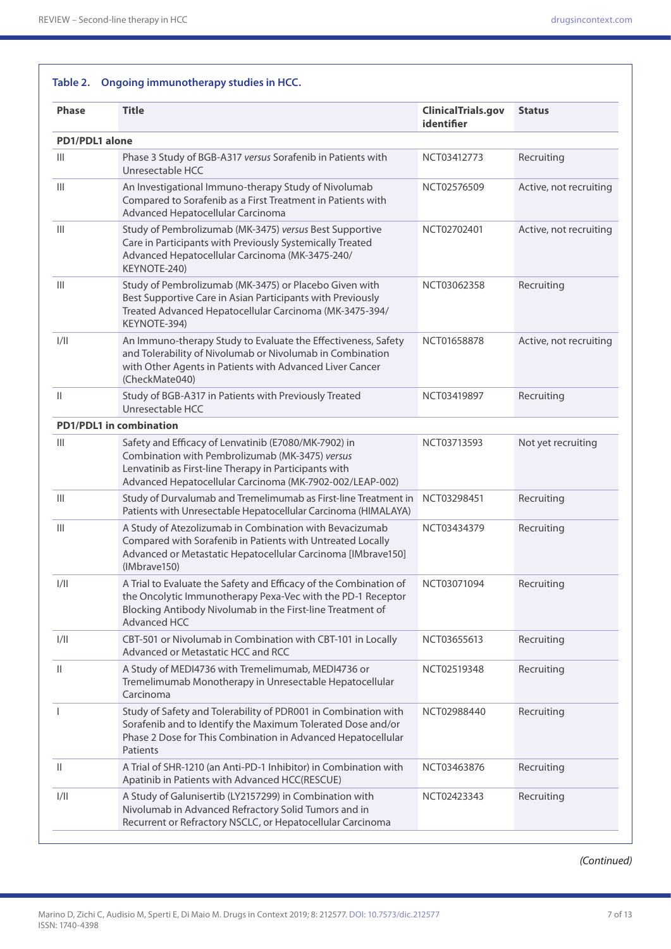#### **Table 2. Ongoing immunotherapy studies in HCC. Phase Title ClinicalTrials.gov identifier Status PD1/PDL1 alone** III Phase 3 Study of BGB-A317 *versus* Sorafenib in Patients with Unresectable HCC NCT03412773 Recruiting III An Investigational Immuno-therapy Study of Nivolumab Compared to Sorafenib as a First Treatment in Patients with Advanced Hepatocellular Carcinoma NCT02576509 Active, not recruiting III Study of Pembrolizumab (MK-3475) *versus* Best Supportive Care in Participants with Previously Systemically Treated Advanced Hepatocellular Carcinoma (MK-3475-240/ KEYNOTE-240) NCT02702401 Active, not recruiting III Study of Pembrolizumab (MK-3475) or Placebo Given with Best Supportive Care in Asian Participants with Previously Treated Advanced Hepatocellular Carcinoma (MK-3475-394/ KEYNOTE-394) NCT03062358 Recruiting I/II An Immuno-therapy Study to Evaluate the Effectiveness, Safety and Tolerability of Nivolumab or Nivolumab in Combination with Other Agents in Patients with Advanced Liver Cancer (CheckMate040) NCT01658878 Active, not recruiting II Study of BGB-A317 in Patients with Previously Treated Unresectable HCC NCT03419897 Recruiting **PD1/PDL1 in combination** III Safety and Efficacy of Lenvatinib (E7080/MK-7902) in Combination with Pembrolizumab (MK-3475) *versus* Lenvatinib as First-line Therapy in Participants with Advanced Hepatocellular Carcinoma (MK-7902-002/LEAP-002) NCT03713593 Not yet recruiting III Study of Durvalumab and Tremelimumab as First-line Treatment in NCT03298451 Recruiting Patients with Unresectable Hepatocellular Carcinoma (HIMALAYA) III A Study of Atezolizumab in Combination with Bevacizumab Compared with Sorafenib in Patients with Untreated Locally Advanced or Metastatic Hepatocellular Carcinoma [IMbrave150] (IMbrave150) NCT03434379 Recruiting I/II A Trial to Evaluate the Safety and Efficacy of the Combination of the Oncolytic Immunotherapy Pexa-Vec with the PD-1 Receptor Blocking Antibody Nivolumab in the First-line Treatment of Advanced HCC NCT03071094 Recruiting I/II CBT-501 or Nivolumab in Combination with CBT-101 in Locally Advanced or Metastatic HCC and RCC NCT03655613 Recruiting II A Study of MEDI4736 with Tremelimumab, MEDI4736 or Tremelimumab Monotherapy in Unresectable Hepatocellular Carcinoma NCT02519348 Recruiting I Study of Safety and Tolerability of PDR001 in Combination with Sorafenib and to Identify the Maximum Tolerated Dose and/or Phase 2 Dose for This Combination in Advanced Hepatocellular Patients NCT02988440 Recruiting II A Trial of SHR-1210 (an Anti-PD-1 Inhibitor) in Combination with Apatinib in Patients with Advanced HCC(RESCUE) NCT03463876 Recruiting I/II A Study of Galunisertib (LY2157299) in Combination with Nivolumab in Advanced Refractory Solid Tumors and in Recurrent or Refractory NSCLC, or Hepatocellular Carcinoma NCT02423343 Recruiting

*(Continued)*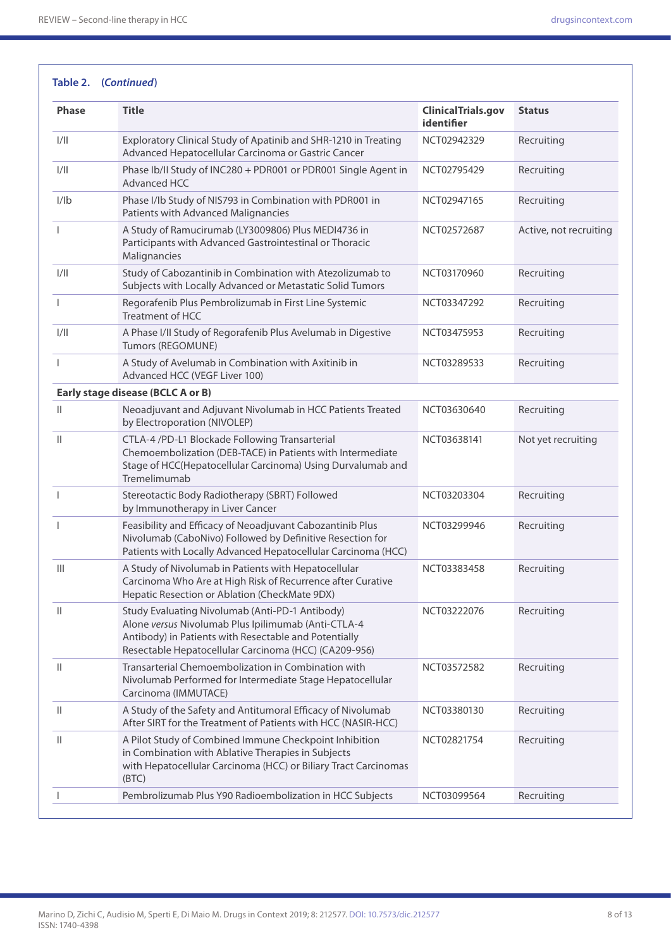| <b>Title</b><br><b>Phase</b><br><b>ClinicalTrials.gov</b><br><b>Status</b> |                                                                                                                                                                                                                          |                           |                        |  |  |
|----------------------------------------------------------------------------|--------------------------------------------------------------------------------------------------------------------------------------------------------------------------------------------------------------------------|---------------------------|------------------------|--|--|
|                                                                            |                                                                                                                                                                                                                          | identifier                |                        |  |  |
| 1/11                                                                       | Exploratory Clinical Study of Apatinib and SHR-1210 in Treating<br>Advanced Hepatocellular Carcinoma or Gastric Cancer                                                                                                   | NCT02942329               | Recruiting             |  |  |
| 1/11                                                                       | Phase Ib/II Study of INC280 + PDR001 or PDR001 Single Agent in<br>Advanced HCC                                                                                                                                           | NCT02795429               | Recruiting             |  |  |
| 1/1 <sub>b</sub>                                                           | Phase I/Ib Study of NIS793 in Combination with PDR001 in<br>Patients with Advanced Malignancies                                                                                                                          | NCT02947165<br>Recruiting |                        |  |  |
|                                                                            | A Study of Ramucirumab (LY3009806) Plus MEDI4736 in<br>Participants with Advanced Gastrointestinal or Thoracic<br>Malignancies                                                                                           | NCT02572687               | Active, not recruiting |  |  |
| 1/11                                                                       | Study of Cabozantinib in Combination with Atezolizumab to<br>Subjects with Locally Advanced or Metastatic Solid Tumors                                                                                                   | NCT03170960               | Recruiting             |  |  |
| -1                                                                         | Regorafenib Plus Pembrolizumab in First Line Systemic<br><b>Treatment of HCC</b>                                                                                                                                         | NCT03347292               | Recruiting             |  |  |
| 1/11                                                                       | A Phase I/II Study of Regorafenib Plus Avelumab in Digestive<br>Tumors (REGOMUNE)                                                                                                                                        | NCT03475953               | Recruiting             |  |  |
| $\mathbf{I}$                                                               | A Study of Avelumab in Combination with Axitinib in<br>Advanced HCC (VEGF Liver 100)                                                                                                                                     | NCT03289533               | Recruiting             |  |  |
|                                                                            | Early stage disease (BCLC A or B)                                                                                                                                                                                        |                           |                        |  |  |
| Ш                                                                          | Neoadjuvant and Adjuvant Nivolumab in HCC Patients Treated<br>by Electroporation (NIVOLEP)                                                                                                                               | NCT03630640               | Recruiting             |  |  |
| $\mathbb{I}$                                                               | CTLA-4 /PD-L1 Blockade Following Transarterial<br>Chemoembolization (DEB-TACE) in Patients with Intermediate<br>Stage of HCC(Hepatocellular Carcinoma) Using Durvalumab and<br>Tremelimumab                              | NCT03638141               | Not yet recruiting     |  |  |
| J.                                                                         | Stereotactic Body Radiotherapy (SBRT) Followed<br>by Immunotherapy in Liver Cancer                                                                                                                                       | NCT03203304               | Recruiting             |  |  |
|                                                                            | Feasibility and Efficacy of Neoadjuvant Cabozantinib Plus<br>Nivolumab (CaboNivo) Followed by Definitive Resection for<br>Patients with Locally Advanced Hepatocellular Carcinoma (HCC)                                  | NCT03299946               | Recruiting             |  |  |
| $\mathbb{H}$                                                               | A Study of Nivolumab in Patients with Hepatocellular<br>Carcinoma Who Are at High Risk of Recurrence after Curative<br>Hepatic Resection or Ablation (CheckMate 9DX)                                                     | NCT03383458               | Recruiting             |  |  |
| Ш                                                                          | Study Evaluating Nivolumab (Anti-PD-1 Antibody)<br>Alone versus Nivolumab Plus Ipilimumab (Anti-CTLA-4<br>Antibody) in Patients with Resectable and Potentially<br>Resectable Hepatocellular Carcinoma (HCC) (CA209-956) | NCT03222076               | Recruiting             |  |  |
| $\mathbf{H}$                                                               | Transarterial Chemoembolization in Combination with<br>Nivolumab Performed for Intermediate Stage Hepatocellular<br>Carcinoma (IMMUTACE)                                                                                 | NCT03572582               | Recruiting             |  |  |
| Ш                                                                          | A Study of the Safety and Antitumoral Efficacy of Nivolumab<br>After SIRT for the Treatment of Patients with HCC (NASIR-HCC)                                                                                             | NCT03380130               | Recruiting             |  |  |
| Ш                                                                          | A Pilot Study of Combined Immune Checkpoint Inhibition<br>in Combination with Ablative Therapies in Subjects<br>with Hepatocellular Carcinoma (HCC) or Biliary Tract Carcinomas<br>(BTC)                                 | NCT02821754               | Recruiting             |  |  |
|                                                                            | Pembrolizumab Plus Y90 Radioembolization in HCC Subjects                                                                                                                                                                 | NCT03099564               | Recruiting             |  |  |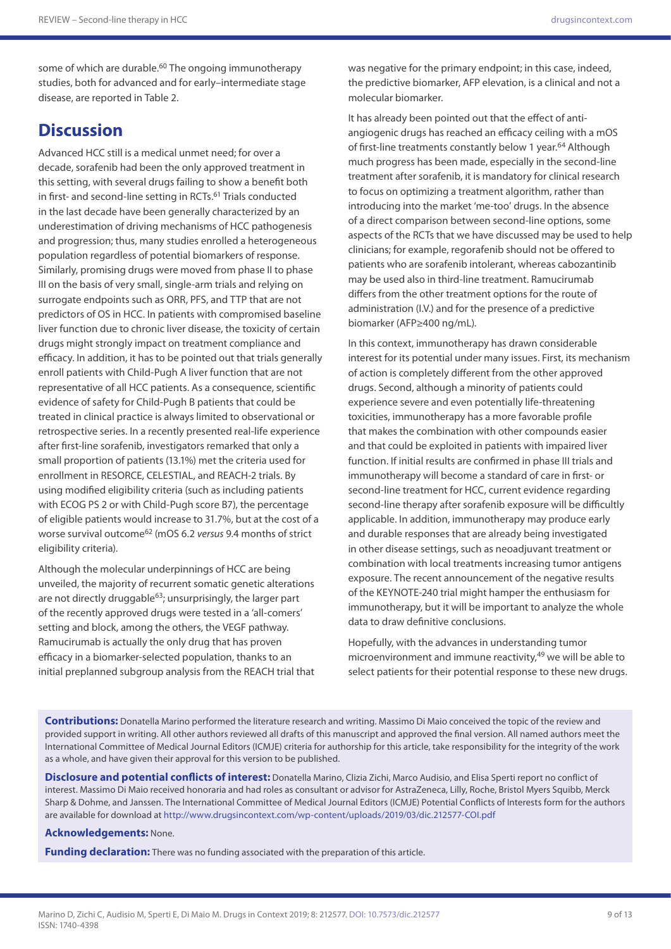some of which are durable.<sup>60</sup> The ongoing immunotherapy studies, both for advanced and for early–intermediate stage disease, are reported in Table 2.

## **Discussion**

Advanced HCC still is a medical unmet need; for over a decade, sorafenib had been the only approved treatment in this setting, with several drugs failing to show a benefit both in first- and second-line setting in RCTs.<sup>61</sup> Trials conducted in the last decade have been generally characterized by an underestimation of driving mechanisms of HCC pathogenesis and progression; thus, many studies enrolled a heterogeneous population regardless of potential biomarkers of response. Similarly, promising drugs were moved from phase II to phase III on the basis of very small, single-arm trials and relying on surrogate endpoints such as ORR, PFS, and TTP that are not predictors of OS in HCC. In patients with compromised baseline liver function due to chronic liver disease, the toxicity of certain drugs might strongly impact on treatment compliance and efficacy. In addition, it has to be pointed out that trials generally enroll patients with Child-Pugh A liver function that are not representative of all HCC patients. As a consequence, scientific evidence of safety for Child-Pugh B patients that could be treated in clinical practice is always limited to observational or retrospective series. In a recently presented real-life experience after first-line sorafenib, investigators remarked that only a small proportion of patients (13.1%) met the criteria used for enrollment in RESORCE, CELESTIAL, and REACH-2 trials. By using modified eligibility criteria (such as including patients with ECOG PS 2 or with Child-Pugh score B7), the percentage of eligible patients would increase to 31.7%, but at the cost of a worse survival outcome62 (mOS 6.2 *versus* 9.4 months of strict eligibility criteria).

Although the molecular underpinnings of HCC are being unveiled, the majority of recurrent somatic genetic alterations are not directly druggable $63$ ; unsurprisingly, the larger part of the recently approved drugs were tested in a 'all-comers' setting and block, among the others, the VEGF pathway. Ramucirumab is actually the only drug that has proven efficacy in a biomarker-selected population, thanks to an initial preplanned subgroup analysis from the REACH trial that

was negative for the primary endpoint; in this case, indeed, the predictive biomarker, AFP elevation, is a clinical and not a molecular biomarker.

It has already been pointed out that the effect of antiangiogenic drugs has reached an efficacy ceiling with a mOS of first-line treatments constantly below 1 year.<sup>64</sup> Although much progress has been made, especially in the second-line treatment after sorafenib, it is mandatory for clinical research to focus on optimizing a treatment algorithm, rather than introducing into the market 'me-too' drugs. In the absence of a direct comparison between second-line options, some aspects of the RCTs that we have discussed may be used to help clinicians; for example, regorafenib should not be offered to patients who are sorafenib intolerant, whereas cabozantinib may be used also in third-line treatment. Ramucirumab differs from the other treatment options for the route of administration (I.V.) and for the presence of a predictive biomarker (AFP≥400 ng/mL).

In this context, immunotherapy has drawn considerable interest for its potential under many issues. First, its mechanism of action is completely different from the other approved drugs. Second, although a minority of patients could experience severe and even potentially life-threatening toxicities, immunotherapy has a more favorable profile that makes the combination with other compounds easier and that could be exploited in patients with impaired liver function. If initial results are confirmed in phase III trials and immunotherapy will become a standard of care in first- or second-line treatment for HCC, current evidence regarding second-line therapy after sorafenib exposure will be difficultly applicable. In addition, immunotherapy may produce early and durable responses that are already being investigated in other disease settings, such as neoadjuvant treatment or combination with local treatments increasing tumor antigens exposure. The recent announcement of the negative results of the KEYNOTE-240 trial might hamper the enthusiasm for immunotherapy, but it will be important to analyze the whole data to draw definitive conclusions.

Hopefully, with the advances in understanding tumor microenvironment and immune reactivity,<sup>49</sup> we will be able to select patients for their potential response to these new drugs.

**Contributions:** Donatella Marino performed the literature research and writing. Massimo Di Maio conceived the topic of the review and provided support in writing. All other authors reviewed all drafts of this manuscript and approved the final version. All named authors meet the International Committee of Medical Journal Editors (ICMJE) criteria for authorship for this article, take responsibility for the integrity of the work as a whole, and have given their approval for this version to be published.

**Disclosure and potential conflicts of interest:** Donatella Marino, Clizia Zichi, Marco Audisio, and Elisa Sperti report no conflict of interest. Massimo Di Maio received honoraria and had roles as consultant or advisor for AstraZeneca, Lilly, Roche, Bristol Myers Squibb, Merck Sharp & Dohme, and Janssen. The International Committee of Medical Journal Editors (ICMJE) Potential Conflicts of Interests form for the authors are available for download at<http://www.drugsincontext.com/wp-content/uploads/2019/03/dic.212577-COI.pdf>

#### **Acknowledgements:** None.

**Funding declaration:** There was no funding associated with the preparation of this article.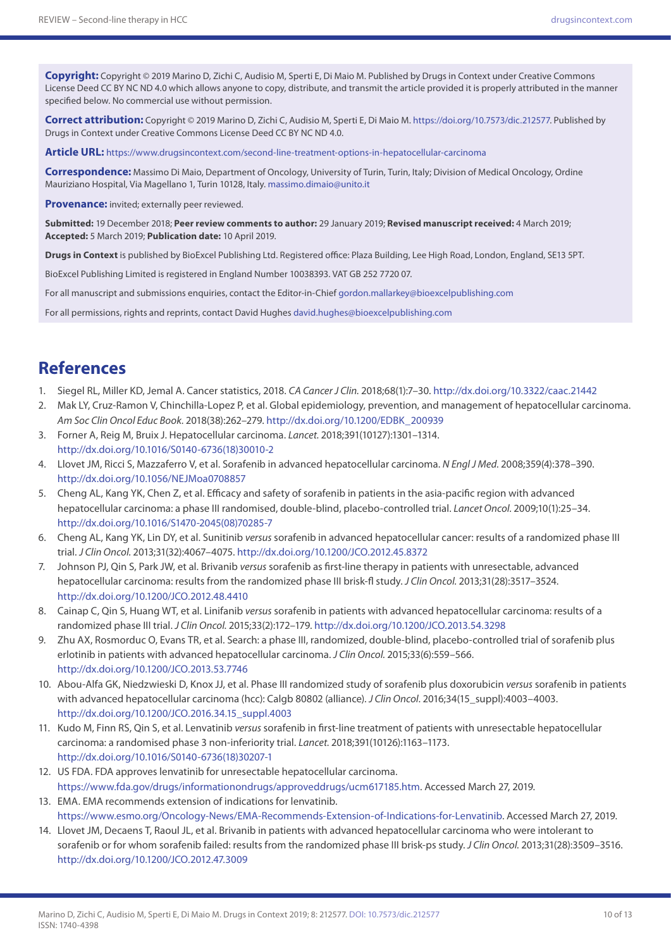**Copyright:** Copyright © 2019 Marino D, Zichi C, Audisio M, Sperti E, Di Maio M. Published by Drugs in Context under Creative Commons License Deed CC BY NC ND 4.0 which allows anyone to copy, distribute, and transmit the article provided it is properly attributed in the manner specified below. No commercial use without permission.

**Correct attribution:** Copyright © 2019 Marino D, Zichi C, Audisio M, Sperti E, Di Maio M. [https://doi.org/10.7573/dic.212577.](https://doi.org/10.7573/dic.212577) Published by Drugs in Context under Creative Commons License Deed CC BY NC ND 4.0.

**Article URL:** <https://www.drugsincontext.com/second-line-treatment-options-in-hepatocellular-carcinoma>

**Correspondence:** Massimo Di Maio, Department of Oncology, University of Turin, Turin, Italy; Division of Medical Oncology, Ordine Mauriziano Hospital, Via Magellano 1, Turin 10128, Italy. [massimo.dimaio@unito.it](mailto:massimo.dimaio@unito.it)

**Provenance:** invited; externally peer reviewed.

**Submitted:** 19 December 2018; **Peer review comments to author:** 29 January 2019; **Revised manuscript received:** 4 March 2019; **Accepted:** 5 March 2019; **Publication date:** 10 April 2019.

**Drugs in Context** is published by BioExcel Publishing Ltd. Registered office: Plaza Building, Lee High Road, London, England, SE13 5PT.

BioExcel Publishing Limited is registered in England Number 10038393. VAT GB 252 7720 07.

For all manuscript and submissions enquiries, contact the Editor-in-Chief [gordon.mallarkey@bioexcelpublishing.com](mailto:gordon.mallarkey@bioexcelpublishing.com)

For all permissions, rights and reprints, contact David Hughes [david.hughes@bioexcelpublishing.com](mailto:david.hughes@bioexcelpublishing.com)

#### **References**

- 1. Siegel RL, Miller KD, Jemal A. Cancer statistics, 2018. *CA Cancer J Clin.* 2018;68(1):7–30. <http://dx.doi.org/10.3322/caac.21442>
- 2. Mak LY, Cruz-Ramon V, Chinchilla-Lopez P, et al. Global epidemiology, prevention, and management of hepatocellular carcinoma. *Am Soc Clin Oncol Educ Book.* 2018(38):262–279. [http://dx.doi.org/10.1200/EDBK\\_200939](http://dx.doi.org/10.1200/EDBK_200939)
- 3. Forner A, Reig M, Bruix J. Hepatocellular carcinoma. *Lancet.* 2018;391(10127):1301–1314. [http://dx.doi.org/10.1016/S0140-6736\(18\)30010-2](http://dx.doi.org/10.1016/S0140-6736(18)30010-2)
- 4. Llovet JM, Ricci S, Mazzaferro V, et al. Sorafenib in advanced hepatocellular carcinoma. *N Engl J Med.* 2008;359(4):378–390. <http://dx.doi.org/10.1056/NEJMoa0708857>
- 5. Cheng AL, Kang YK, Chen Z, et al. Efficacy and safety of sorafenib in patients in the asia-pacific region with advanced hepatocellular carcinoma: a phase III randomised, double-blind, placebo-controlled trial. *Lancet Oncol.* 2009;10(1):25–34. [http://dx.doi.org/10.1016/S1470-2045\(08\)70285-7](http://dx.doi.org/10.1016/S1470-2045(08)70285-7)
- 6. Cheng AL, Kang YK, Lin DY, et al. Sunitinib *versus* sorafenib in advanced hepatocellular cancer: results of a randomized phase III trial. *J Clin Oncol.* 2013;31(32):4067–4075. <http://dx.doi.org/10.1200/JCO.2012.45.8372>
- 7. Johnson PJ, Qin S, Park JW, et al. Brivanib *versus* sorafenib as first-line therapy in patients with unresectable, advanced hepatocellular carcinoma: results from the randomized phase III brisk-fl study. *J Clin Oncol.* 2013;31(28):3517–3524. <http://dx.doi.org/10.1200/JCO.2012.48.4410>
- 8. Cainap C, Qin S, Huang WT, et al. Linifanib *versus* sorafenib in patients with advanced hepatocellular carcinoma: results of a randomized phase III trial. *J Clin Oncol.* 2015;33(2):172–179.<http://dx.doi.org/10.1200/JCO.2013.54.3298>
- 9. Zhu AX, Rosmorduc O, Evans TR, et al. Search: a phase III, randomized, double-blind, placebo-controlled trial of sorafenib plus erlotinib in patients with advanced hepatocellular carcinoma. *J Clin Oncol.* 2015;33(6):559–566. <http://dx.doi.org/10.1200/JCO.2013.53.7746>
- 10. Abou-Alfa GK, Niedzwieski D, Knox JJ, et al. Phase III randomized study of sorafenib plus doxorubicin *versus* sorafenib in patients with advanced hepatocellular carcinoma (hcc): Calgb 80802 (alliance). *J Clin Oncol*. 2016;34(15\_suppl):4003–4003. [http://dx.doi.org/10.1200/JCO.2016.34.15\\_suppl.4003](http://dx.doi.org/10.1200/JCO.2016.34.15_suppl.4003)
- 11. Kudo M, Finn RS, Qin S, et al. Lenvatinib *versus* sorafenib in first-line treatment of patients with unresectable hepatocellular carcinoma: a randomised phase 3 non-inferiority trial. *Lancet.* 2018;391(10126):1163–1173. [http://dx.doi.org/10.1016/S0140-6736\(18\)30207-1](http://dx.doi.org/10.1016/S0140-6736(18)30207-1)
- 12. US FDA. FDA approves lenvatinib for unresectable hepatocellular carcinoma. [https://www.fda.gov/drugs/informationondrugs/approveddrugs/ucm617185.htm.](https://www.fda.gov/drugs/informationondrugs/approveddrugs/ucm617185.htm) Accessed March 27, 2019.
- 13. EMA. EMA recommends extension of indications for lenvatinib. [https://www.esmo.org/Oncology-News/EMA-Recommends-Extension-of-Indications-for-Lenvatinib.](https://www.esmo.org/Oncology-News/EMA-Recommends-Extension-of-Indications-for-Lenvatinib) Accessed March 27, 2019.
- 14. Llovet JM, Decaens T, Raoul JL, et al. Brivanib in patients with advanced hepatocellular carcinoma who were intolerant to sorafenib or for whom sorafenib failed: results from the randomized phase III brisk-ps study. *J Clin Oncol.* 2013;31(28):3509–3516. <http://dx.doi.org/10.1200/JCO.2012.47.3009>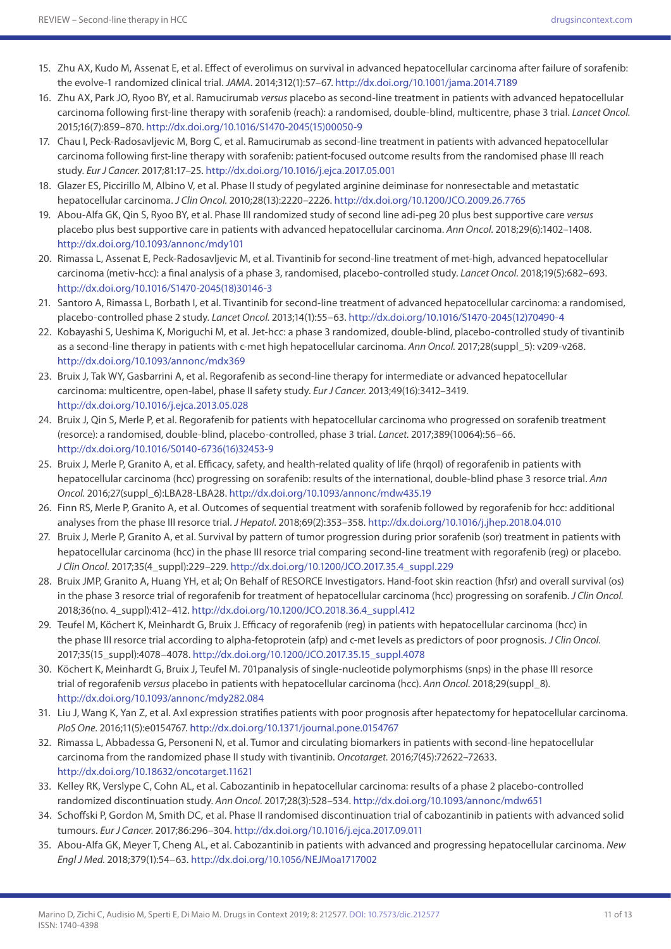- 15. Zhu AX, Kudo M, Assenat E, et al. Effect of everolimus on survival in advanced hepatocellular carcinoma after failure of sorafenib: the evolve-1 randomized clinical trial. *JAMA.* 2014;312(1):57–67. <http://dx.doi.org/10.1001/jama.2014.7189>
- 16. Zhu AX, Park JO, Ryoo BY, et al. Ramucirumab *versus* placebo as second-line treatment in patients with advanced hepatocellular carcinoma following first-line therapy with sorafenib (reach): a randomised, double-blind, multicentre, phase 3 trial. *Lancet Oncol.*  2015;16(7):859–870. [http://dx.doi.org/10.1016/S1470-2045\(15\)00050-9](http://dx.doi.org/10.1016/S1470-2045(15)00050-9)
- 17. Chau I, Peck-Radosavljevic M, Borg C, et al. Ramucirumab as second-line treatment in patients with advanced hepatocellular carcinoma following first-line therapy with sorafenib: patient-focused outcome results from the randomised phase III reach study. *Eur J Cancer.* 2017;81:17–25. <http://dx.doi.org/10.1016/j.ejca.2017.05.001>
- 18. Glazer ES, Piccirillo M, Albino V, et al. Phase II study of pegylated arginine deiminase for nonresectable and metastatic hepatocellular carcinoma. *J Clin Oncol.* 2010;28(13):2220–2226. <http://dx.doi.org/10.1200/JCO.2009.26.7765>
- 19. Abou-Alfa GK, Qin S, Ryoo BY, et al. Phase III randomized study of second line adi-peg 20 plus best supportive care *versus* placebo plus best supportive care in patients with advanced hepatocellular carcinoma. *Ann Oncol.* 2018;29(6):1402–1408. <http://dx.doi.org/10.1093/annonc/mdy101>
- 20. Rimassa L, Assenat E, Peck-Radosavljevic M, et al. Tivantinib for second-line treatment of met-high, advanced hepatocellular carcinoma (metiv-hcc): a final analysis of a phase 3, randomised, placebo-controlled study. *Lancet Oncol.* 2018;19(5):682–693. [http://dx.doi.org/10.1016/S1470-2045\(18\)30146-3](http://dx.doi.org/10.1016/S1470-2045(18)30146-3)
- 21. Santoro A, Rimassa L, Borbath I, et al. Tivantinib for second-line treatment of advanced hepatocellular carcinoma: a randomised, placebo-controlled phase 2 study. *Lancet Oncol.* 2013;14(1):55–63. [http://dx.doi.org/10.1016/S1470-2045\(12\)70490-4](http://dx.doi.org/10.1016/S1470-2045(12)70490-4)
- 22. Kobayashi S, Ueshima K, Moriguchi M, et al. Jet-hcc: a phase 3 randomized, double-blind, placebo-controlled study of tivantinib as a second-line therapy in patients with c-met high hepatocellular carcinoma. *Ann Oncol.* 2017;28(suppl\_5): v209-v268. <http://dx.doi.org/10.1093/annonc/mdx369>
- 23. Bruix J, Tak WY, Gasbarrini A, et al. Regorafenib as second-line therapy for intermediate or advanced hepatocellular carcinoma: multicentre, open-label, phase II safety study. *Eur J Cancer.* 2013;49(16):3412–3419. <http://dx.doi.org/10.1016/j.ejca.2013.05.028>
- 24. Bruix J, Qin S, Merle P, et al. Regorafenib for patients with hepatocellular carcinoma who progressed on sorafenib treatment (resorce): a randomised, double-blind, placebo-controlled, phase 3 trial. *Lancet.* 2017;389(10064):56–66. [http://dx.doi.org/10.1016/S0140-6736\(16\)32453-9](http://dx.doi.org/10.1016/S0140-6736(16)32453-9)
- 25. Bruix J, Merle P, Granito A, et al. Efficacy, safety, and health-related quality of life (hrqol) of regorafenib in patients with hepatocellular carcinoma (hcc) progressing on sorafenib: results of the international, double-blind phase 3 resorce trial. *Ann Oncol.* 2016;27(suppl\_6):LBA28-LBA28. <http://dx.doi.org/10.1093/annonc/mdw435.19>
- 26. Finn RS, Merle P, Granito A, et al. Outcomes of sequential treatment with sorafenib followed by regorafenib for hcc: additional analyses from the phase III resorce trial. *J Hepatol.* 2018;69(2):353–358. <http://dx.doi.org/10.1016/j.jhep.2018.04.010>
- 27. Bruix J, Merle P, Granito A, et al. Survival by pattern of tumor progression during prior sorafenib (sor) treatment in patients with hepatocellular carcinoma (hcc) in the phase III resorce trial comparing second-line treatment with regorafenib (reg) or placebo. *J Clin Oncol*. 2017;35(4\_suppl):229–229. [http://dx.doi.org/10.1200/JCO.2017.35.4\\_suppl.229](http://dx.doi.org/10.1200/JCO.2017.35.4_suppl.229)
- 28. Bruix JMP, Granito A, Huang YH, et al; On Behalf of RESORCE Investigators. Hand-foot skin reaction (hfsr) and overall survival (os) in the phase 3 resorce trial of regorafenib for treatment of hepatocellular carcinoma (hcc) progressing on sorafenib. *J Clin Oncol.*  2018;36(no. 4\_suppl):412–412. [http://dx.doi.org/10.1200/JCO.2018.36.4\\_suppl.412](http://dx.doi.org/10.1200/JCO.2018.36.4_suppl.412)
- 29. Teufel M, Köchert K, Meinhardt G, Bruix J. Efficacy of regorafenib (reg) in patients with hepatocellular carcinoma (hcc) in the phase III resorce trial according to alpha-fetoprotein (afp) and c-met levels as predictors of poor prognosis. *J Clin Oncol*. 2017;35(15\_suppl):4078–4078. [http://dx.doi.org/10.1200/JCO.2017.35.15\\_suppl.4078](http://dx.doi.org/10.1200/JCO.2017.35.15_suppl.4078)
- 30. Köchert K, Meinhardt G, Bruix J, Teufel M. 701panalysis of single-nucleotide polymorphisms (snps) in the phase III resorce trial of regorafenib *versus* placebo in patients with hepatocellular carcinoma (hcc). *Ann Oncol.* 2018;29(suppl\_8). <http://dx.doi.org/10.1093/annonc/mdy282.084>
- 31. Liu J, Wang K, Yan Z, et al. Axl expression stratifies patients with poor prognosis after hepatectomy for hepatocellular carcinoma. *PloS One.* 2016;11(5):e0154767. <http://dx.doi.org/10.1371/journal.pone.0154767>
- 32. Rimassa L, Abbadessa G, Personeni N, et al. Tumor and circulating biomarkers in patients with second-line hepatocellular carcinoma from the randomized phase II study with tivantinib. *Oncotarget.* 2016;7(45):72622–72633. <http://dx.doi.org/10.18632/oncotarget.11621>
- 33. Kelley RK, Verslype C, Cohn AL, et al. Cabozantinib in hepatocellular carcinoma: results of a phase 2 placebo-controlled randomized discontinuation study. *Ann Oncol.* 2017;28(3):528–534. <http://dx.doi.org/10.1093/annonc/mdw651>
- 34. Schoffski P, Gordon M, Smith DC, et al. Phase II randomised discontinuation trial of cabozantinib in patients with advanced solid tumours. *Eur J Cancer.* 2017;86:296–304.<http://dx.doi.org/10.1016/j.ejca.2017.09.011>
- 35. Abou-Alfa GK, Meyer T, Cheng AL, et al. Cabozantinib in patients with advanced and progressing hepatocellular carcinoma. *New Engl J Med.* 2018;379(1):54–63. <http://dx.doi.org/10.1056/NEJMoa1717002>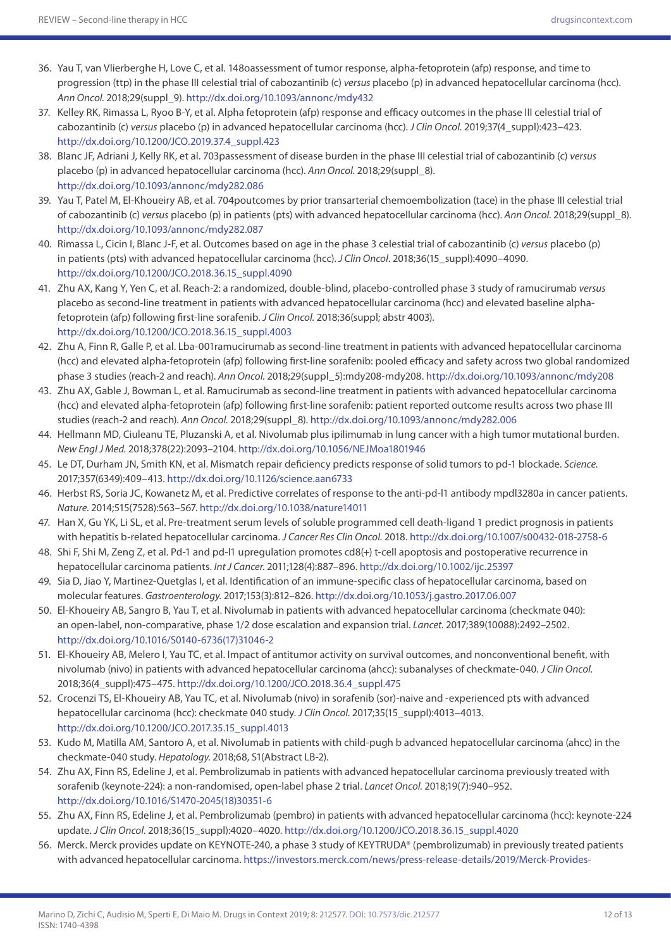- 36. Yau T, van Vlierberghe H, Love C, et al. 148oassessment of tumor response, alpha-fetoprotein (afp) response, and time to progression (ttp) in the phase III celestial trial of cabozantinib (c) *versus* placebo (p) in advanced hepatocellular carcinoma (hcc). *Ann Oncol.* 2018;29(suppl\_9).<http://dx.doi.org/10.1093/annonc/mdy432>
- 37. Kelley RK, Rimassa L, Ryoo B-Y, et al. Alpha fetoprotein (afp) response and efficacy outcomes in the phase III celestial trial of cabozantinib (c) *versus* placebo (p) in advanced hepatocellular carcinoma (hcc). *J Clin Oncol*. 2019;37(4\_suppl):423–423. [http://dx.doi.org/10.1200/JCO.2019.37.4\\_suppl.423](http://dx.doi.org/10.1200/JCO.2019.37.4_suppl.423)
- 38. Blanc JF, Adriani J, Kelly RK, et al. 703passessment of disease burden in the phase III celestial trial of cabozantinib (c) *versus* placebo (p) in advanced hepatocellular carcinoma (hcc). *Ann Oncol.* 2018;29(suppl\_8). <http://dx.doi.org/10.1093/annonc/mdy282.086>
- 39. Yau T, Patel M, El-Khoueiry AB, et al. 704poutcomes by prior transarterial chemoembolization (tace) in the phase III celestial trial of cabozantinib (c) *versus* placebo (p) in patients (pts) with advanced hepatocellular carcinoma (hcc). *Ann Oncol.* 2018;29(suppl\_8). <http://dx.doi.org/10.1093/annonc/mdy282.087>
- 40. Rimassa L, Cicin I, Blanc J-F, et al. Outcomes based on age in the phase 3 celestial trial of cabozantinib (c) *versus* placebo (p) in patients (pts) with advanced hepatocellular carcinoma (hcc). *J Clin Oncol*. 2018;36(15\_suppl):4090–4090. [http://dx.doi.org/10.1200/JCO.2018.36.15\\_suppl.4090](http://dx.doi.org/10.1200/JCO.2018.36.15_suppl.4090)
- 41. Zhu AX, Kang Y, Yen C, et al. Reach-2: a randomized, double-blind, placebo-controlled phase 3 study of ramucirumab *versus* placebo as second-line treatment in patients with advanced hepatocellular carcinoma (hcc) and elevated baseline alphafetoprotein (afp) following first-line sorafenib. *J Clin Oncol.* 2018;36(suppl; abstr 4003). [http://dx.doi.org/10.1200/JCO.2018.36.15\\_suppl.4003](http://dx.doi.org/10.1200/JCO.2018.36.15_suppl.4003)
- 42. Zhu A, Finn R, Galle P, et al. Lba-001ramucirumab as second-line treatment in patients with advanced hepatocellular carcinoma (hcc) and elevated alpha-fetoprotein (afp) following first-line sorafenib: pooled efficacy and safety across two global randomized phase 3 studies (reach-2 and reach). *Ann Oncol.* 2018;29(suppl\_5):mdy208-mdy208.<http://dx.doi.org/10.1093/annonc/mdy208>
- 43. Zhu AX, Gable J, Bowman L, et al. Ramucirumab as second-line treatment in patients with advanced hepatocellular carcinoma (hcc) and elevated alpha-fetoprotein (afp) following first-line sorafenib: patient reported outcome results across two phase III studies (reach-2 and reach). *Ann Oncol.* 2018;29(suppl\_8).<http://dx.doi.org/10.1093/annonc/mdy282.006>
- 44. Hellmann MD, Ciuleanu TE, Pluzanski A, et al. Nivolumab plus ipilimumab in lung cancer with a high tumor mutational burden. *New Engl J Med.* 2018;378(22):2093–2104. <http://dx.doi.org/10.1056/NEJMoa1801946>
- 45. Le DT, Durham JN, Smith KN, et al. Mismatch repair deficiency predicts response of solid tumors to pd-1 blockade. *Science.*  2017;357(6349):409–413.<http://dx.doi.org/10.1126/science.aan6733>
- 46. Herbst RS, Soria JC, Kowanetz M, et al. Predictive correlates of response to the anti-pd-l1 antibody mpdl3280a in cancer patients. *Nature.* 2014;515(7528):563–567.<http://dx.doi.org/10.1038/nature14011>
- 47. Han X, Gu YK, Li SL, et al. Pre-treatment serum levels of soluble programmed cell death-ligand 1 predict prognosis in patients with hepatitis b-related hepatocellular carcinoma. *J Cancer Res Clin Oncol.* 2018. <http://dx.doi.org/10.1007/s00432-018-2758-6>
- 48. Shi F, Shi M, Zeng Z, et al. Pd-1 and pd-l1 upregulation promotes cd8(+) t-cell apoptosis and postoperative recurrence in hepatocellular carcinoma patients. *Int J Cancer.* 2011;128(4):887–896.<http://dx.doi.org/10.1002/ijc.25397>
- 49. Sia D, Jiao Y, Martinez-Quetglas I, et al. Identification of an immune-specific class of hepatocellular carcinoma, based on molecular features. *Gastroenterology.* 2017;153(3):812–826.<http://dx.doi.org/10.1053/j.gastro.2017.06.007>
- 50. El-Khoueiry AB, Sangro B, Yau T, et al. Nivolumab in patients with advanced hepatocellular carcinoma (checkmate 040): an open-label, non-comparative, phase 1/2 dose escalation and expansion trial. *Lancet.* 2017;389(10088):2492–2502. [http://dx.doi.org/10.1016/S0140-6736\(17\)31046-2](http://dx.doi.org/10.1016/S0140-6736(17)31046-2)
- 51. El-Khoueiry AB, Melero I, Yau TC, et al. Impact of antitumor activity on survival outcomes, and nonconventional benefit, with nivolumab (nivo) in patients with advanced hepatocellular carcinoma (ahcc): subanalyses of checkmate-040. *J Clin Oncol.*  2018;36(4\_suppl):475–475. [http://dx.doi.org/10.1200/JCO.2018.36.4\\_suppl.475](http://dx.doi.org/10.1200/JCO.2018.36.4_suppl.475)
- 52. Crocenzi TS, El-Khoueiry AB, Yau TC, et al. Nivolumab (nivo) in sorafenib (sor)-naive and -experienced pts with advanced hepatocellular carcinoma (hcc): checkmate 040 study. *J Clin Oncol.* 2017;35(15\_suppl):4013–4013. [http://dx.doi.org/10.1200/JCO.2017.35.15\\_suppl.4013](http://dx.doi.org/10.1200/JCO.2017.35.15_suppl.4013)
- 53. Kudo M, Matilla AM, Santoro A, et al. Nivolumab in patients with child-pugh b advanced hepatocellular carcinoma (ahcc) in the checkmate-040 study. *Hepatology.* 2018;68, S1(Abstract LB-2).
- 54. Zhu AX, Finn RS, Edeline J, et al. Pembrolizumab in patients with advanced hepatocellular carcinoma previously treated with sorafenib (keynote-224): a non-randomised, open-label phase 2 trial. *Lancet Oncol.* 2018;19(7):940–952. [http://dx.doi.org/10.1016/S1470-2045\(18\)30351-6](http://dx.doi.org/10.1016/S1470-2045(18)30351-6)
- 55. Zhu AX, Finn RS, Edeline J, et al. Pembrolizumab (pembro) in patients with advanced hepatocellular carcinoma (hcc): keynote-224 update. *J Clin Oncol*. 2018;36(15\_suppl):4020–4020. [http://dx.doi.org/10.1200/JCO.2018.36.15\\_suppl.4020](http://dx.doi.org/10.1200/JCO.2018.36.15_suppl.4020)
- 56. Merck. Merck provides update on KEYNOTE-240, a phase 3 study of KEYTRUDA® (pembrolizumab) in previously treated patients with advanced hepatocellular carcinoma. [https://investors.merck.com/news/press-release-details/2019/Merck-Provides-](https://investors.merck.com/news/press-release-details/2019/Merck-Provides-Update-on-KEYNOTE-240-a-Phase-3-Study-of-KEYTRUDA-pembrolizumab-in-Previously-Treated-Patients-with-Advanced-Hepatocellular-Carcinoma/default.aspx)